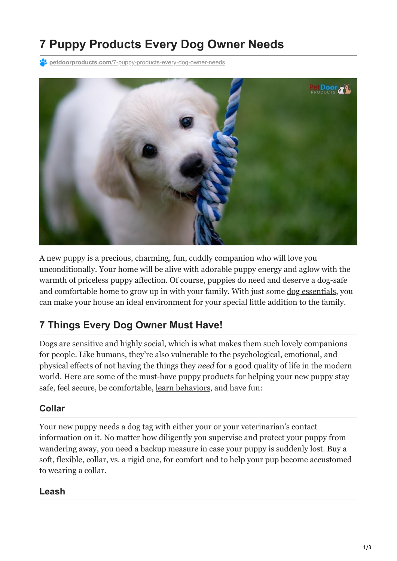# **7 Puppy Products Every Dog Owner Needs**

**P4 petdoorproducts.com[/7-puppy-products-every-dog-owner-needs](https://petdoorproducts.com/7-puppy-products-every-dog-owner-needs/)** 



A new puppy is a precious, charming, fun, cuddly companion who will love you unconditionally. Your home will be alive with adorable puppy energy and aglow with the warmth of priceless puppy affection. Of course, puppies do need and deserve a dog-safe and comfortable home to grow up in with your family. With just some [dog essentials](https://petdoorproducts.com/how-to-ensure-pet-safety-convenience-for-cold-weather/), you can make your house an ideal environment for your special little addition to the family.

## **7 Things Every Dog Owner Must Have!**

Dogs are sensitive and highly social, which is what makes them such lovely companions for people. Like humans, they're also vulnerable to the psychological, emotional, and physical effects of not having the things they *need* for a good quality of life in the modern world. Here are some of the must-have puppy products for helping your new puppy stay safe, feel secure, be comfortable, [learn behaviors](https://petdoorproducts.com/using-positive-reinforcement-to-train-your-dog/), and have fun:

#### **Collar**

Your new puppy needs a dog tag with either your or your veterinarian's contact information on it. No matter how diligently you supervise and protect your puppy from wandering away, you need a backup measure in case your puppy is suddenly lost. Buy a soft, flexible, collar, vs. a rigid one, for comfort and to help your pup become accustomed to wearing a collar.

#### **Leash**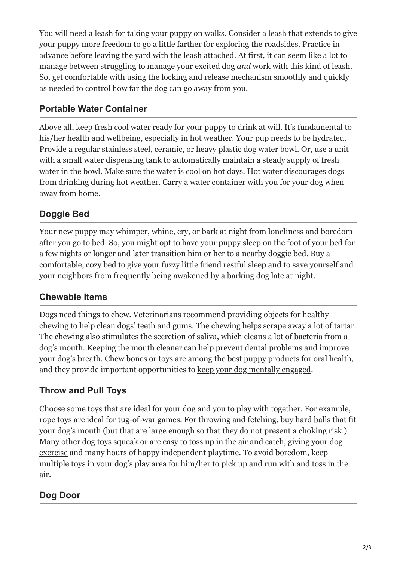You will need a leash for [taking your puppy on walks.](https://petdoorproducts.com/preparing-your-puppy-for-the-first-walk/) Consider a leash that extends to give your puppy more freedom to go a little farther for exploring the roadsides. Practice in advance before leaving the yard with the leash attached. At first, it can seem like a lot to manage between struggling to manage your excited dog *and* work with this kind of leash. So, get comfortable with using the locking and release mechanism smoothly and quickly as needed to control how far the dog can go away from you.

### **Portable Water Container**

Above all, keep fresh cool water ready for your puppy to drink at will. It's fundamental to his/her health and wellbeing, especially in hot weather. Your pup needs to be hydrated. Provide a regular stainless steel, ceramic, or heavy plastic [dog water bowl.](https://petdoorproducts.com/springtime-safety-tips-for-your-dog/) Or, use a unit with a small water dispensing tank to automatically maintain a steady supply of fresh water in the bowl. Make sure the water is cool on hot days. Hot water discourages dogs from drinking during hot weather. Carry a water container with you for your dog when away from home.

## **Doggie Bed**

Your new puppy may whimper, whine, cry, or bark at night from loneliness and boredom after you go to bed. So, you might opt to have your puppy sleep on the foot of your bed for a few nights or longer and later transition him or her to a nearby doggie bed. Buy a comfortable, cozy bed to give your fuzzy little friend restful sleep and to save yourself and your neighbors from frequently being awakened by a barking dog late at night.

#### **Chewable Items**

Dogs need things to chew. Veterinarians recommend providing objects for healthy chewing to help clean dogs' teeth and gums. The chewing helps scrape away a lot of tartar. The chewing also stimulates the secretion of saliva, which cleans a lot of bacteria from a dog's mouth. Keeping the mouth cleaner can help prevent dental problems and improve your dog's breath. Chew bones or toys are among the best puppy products for oral health, and they provide important opportunities to [keep your dog mentally engaged.](https://petdoorproducts.com/6-ways-to-exercise-your-dogs-mind/)

#### **Throw and Pull Toys**

Choose some toys that are ideal for your dog and you to play with together. For example, rope toys are ideal for tug-of-war games. For throwing and fetching, buy hard balls that fit your dog's mouth (but that are large enough so that they do not present a choking risk.) [Many other dog toys squeak or are easy to toss up in the air and catch, giving your dog](https://petdoorproducts.com/blog/page/2/) exercise and many hours of happy independent playtime. To avoid boredom, keep multiple toys in your dog's play area for him/her to pick up and run with and toss in the air.

## **Dog Door**